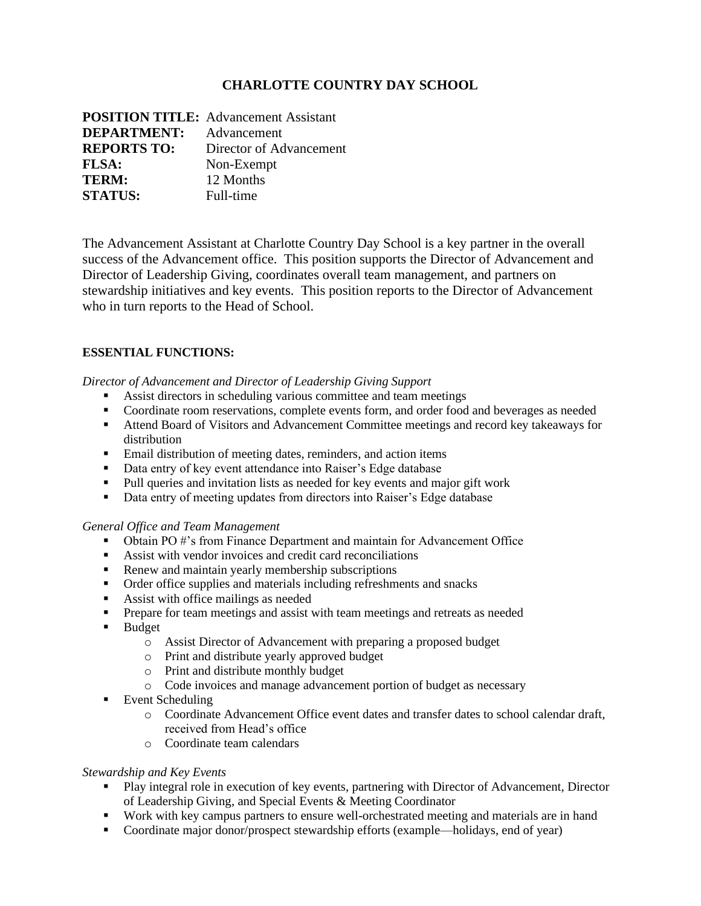# **CHARLOTTE COUNTRY DAY SCHOOL**

|                    | <b>POSITION TITLE:</b> Advancement Assistant |
|--------------------|----------------------------------------------|
| <b>DEPARTMENT:</b> | Advancement                                  |
| <b>REPORTS TO:</b> | Director of Advancement                      |
| <b>FLSA:</b>       | Non-Exempt                                   |
| TERM:              | 12 Months                                    |
| <b>STATUS:</b>     | Full-time                                    |

The Advancement Assistant at Charlotte Country Day School is a key partner in the overall success of the Advancement office. This position supports the Director of Advancement and Director of Leadership Giving, coordinates overall team management, and partners on stewardship initiatives and key events. This position reports to the Director of Advancement who in turn reports to the Head of School.

## **ESSENTIAL FUNCTIONS:**

*Director of Advancement and Director of Leadership Giving Support*

- Assist directors in scheduling various committee and team meetings
- Coordinate room reservations, complete events form, and order food and beverages as needed
- Attend Board of Visitors and Advancement Committee meetings and record key takeaways for distribution
- Email distribution of meeting dates, reminders, and action items
- Data entry of key event attendance into Raiser's Edge database
- Pull queries and invitation lists as needed for key events and major gift work
- Data entry of meeting updates from directors into Raiser's Edge database

#### *General Office and Team Management*

- Obtain PO #'s from Finance Department and maintain for Advancement Office
- Assist with vendor invoices and credit card reconciliations
- Renew and maintain yearly membership subscriptions
- Order office supplies and materials including refreshments and snacks
- Assist with office mailings as needed
- **•** Prepare for team meetings and assist with team meetings and retreats as needed
- Budget
	- o Assist Director of Advancement with preparing a proposed budget
	- o Print and distribute yearly approved budget
	- o Print and distribute monthly budget
	- o Code invoices and manage advancement portion of budget as necessary
- Event Scheduling
	- o Coordinate Advancement Office event dates and transfer dates to school calendar draft, received from Head's office
	- o Coordinate team calendars

#### *Stewardship and Key Events*

- Play integral role in execution of key events, partnering with Director of Advancement, Director of Leadership Giving, and Special Events & Meeting Coordinator
- Work with key campus partners to ensure well-orchestrated meeting and materials are in hand
- Coordinate major donor/prospect stewardship efforts (example—holidays, end of year)